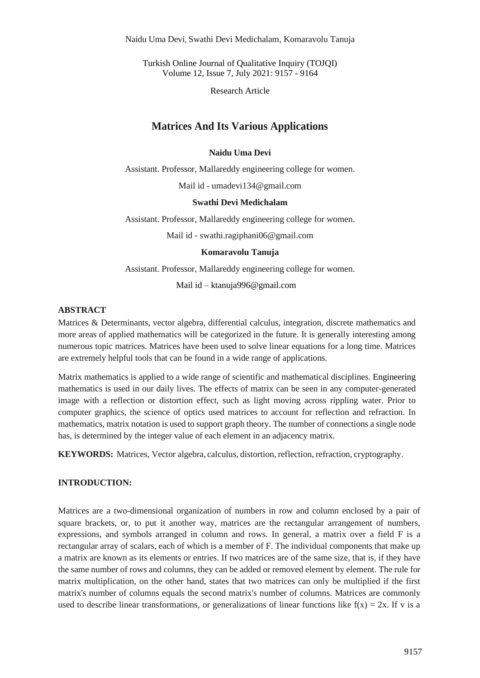Naidu Uma Devi, Swathi Devi Medichalam, Komaravolu Tanuja

Turkish Online Journal of Qualitative Inquiry (TOJQI) Volume 12, Issue 7, July 2021: 9157 - 9164

Research Article

# **Matrices And Its Various Applications**

#### **Naidu Uma Devi**

Assistant. Professor, Mallareddy engineering college for women.

Mail id - umadevi134@gmail.com

#### **Swathi Devi Medichalam**

Assistant. Professor, Mallareddy engineering college for women.

Mail id - swathi.ragiphani06@gmail.com

#### **Komaravolu Tanuja**

Assistant. Professor, Mallareddy engineering college for women.

Mail id – ktanuja99[6@gmail.com](mailto:umadevi134@gmail.com)

## **ABSTRACT**

Matrices & Determinants, vector algebra, differential calculus, integration, discrete mathematics and more areas of applied mathematics will be categorized in the future. It is generally interesting among numerous topic matrices. Matrices have been used to solve linear equations for a long time. Matrices are extremely helpful tools that can be found in a wide range of applications.

Matrix mathematics is applied to a wide range of scientific and mathematical disciplines. Engineering mathematics is used in our daily lives. The effects of matrix can be seen in any computer-generated image with a reflection or distortion effect, such as light moving across rippling water. Prior to computer graphics, the science of optics used matrices to account for reflection and refraction. In mathematics, matrix notation is used to support graph theory. The number of connections a single node has, is determined by the integer value of each element in an adjacency matrix.

**KEYWORDS:** Matrices, Vector algebra, calculus, distortion, reflection, refraction, cryptography.

## **INTRODUCTION:**

Matrices are a two-dimensional organization of numbers in row and column enclosed by a pair of square brackets, or, to put it another way, matrices are the rectangular arrangement of numbers, expressions, and symbols arranged in column and rows. In general, a matrix over a field F is a rectangular array of scalars, each of which is a member of F. The individual components that make up a matrix are known as its elements or entries. If two matrices are of the same size, that is, if they have the same number of rows and columns, they can be added or removed element by element. The rule for matrix multiplication, on the other hand, states that two matrices can only be multiplied if the first matrix's number of columns equals the second matrix's number of columns. Matrices are commonly used to describe linear transformations, or generalizations of linear functions like  $f(x) = 2x$ . If v is a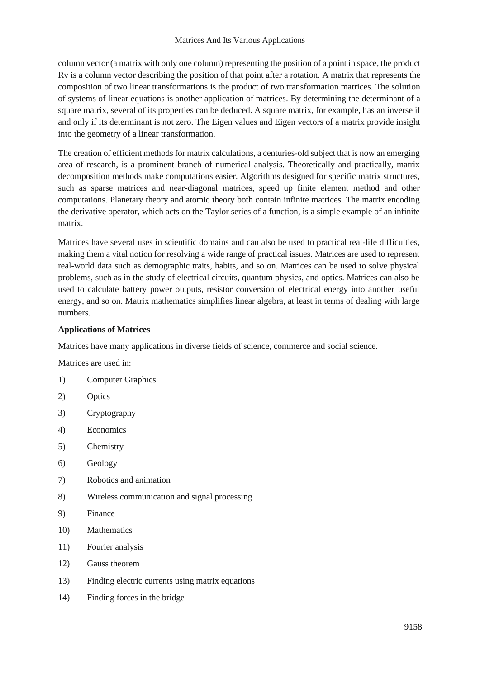column vector (a matrix with only one column) representing the position of a point in space, the product Rv is a column vector describing the position of that point after a rotation. A matrix that represents the composition of two linear transformations is the product of two transformation matrices. The solution of systems of linear equations is another application of matrices. By determining the determinant of a square matrix, several of its properties can be deduced. A square matrix, for example, has an inverse if and only if its determinant is not zero. The Eigen values and Eigen vectors of a matrix provide insight into the geometry of a linear transformation.

The creation of efficient methods for matrix calculations, a centuries-old subject that is now an emerging area of research, is a prominent branch of numerical analysis. Theoretically and practically, matrix decomposition methods make computations easier. Algorithms designed for specific matrix structures, such as sparse matrices and near-diagonal matrices, speed up finite element method and other computations. Planetary theory and atomic theory both contain infinite matrices. The matrix encoding the derivative operator, which acts on the Taylor series of a function, is a simple example of an infinite matrix.

Matrices have several uses in scientific domains and can also be used to practical real-life difficulties, making them a vital notion for resolving a wide range of practical issues. Matrices are used to represent real-world data such as demographic traits, habits, and so on. Matrices can be used to solve physical problems, such as in the study of electrical circuits, quantum physics, and optics. Matrices can also be used to calculate battery power outputs, resistor conversion of electrical energy into another useful energy, and so on. Matrix mathematics simplifies linear algebra, at least in terms of dealing with large numbers.

## **Applications of Matrices**

Matrices have many applications in diverse fields of science, commerce and social science.

Matrices are used in:

- 1) Computer Graphics
- 2) Optics
- 3) Cryptography
- 4) Economics
- 5) Chemistry
- 6) Geology
- 7) Robotics and animation
- 8) Wireless communication and signal processing
- 9) Finance
- 10) Mathematics
- 11) Fourier analysis
- 12) Gauss theorem
- 13) Finding electric currents using matrix equations
- 14) Finding forces in the bridge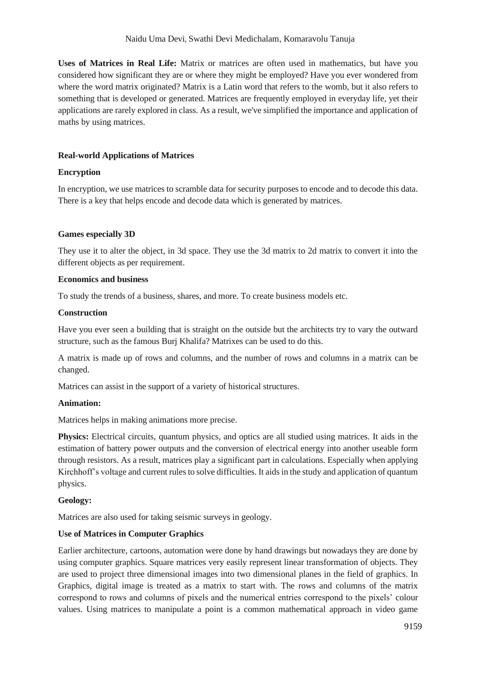**Uses of Matrices in Real Life:** Matrix or matrices are often used in mathematics, but have you considered how significant they are or where they might be employed? Have you ever wondered from where the word matrix originated? Matrix is a Latin word that refers to the womb, but it also refers to something that is developed or generated. Matrices are frequently employed in everyday life, yet their applications are rarely explored in class. As a result, we've simplified the importance and application of maths by using matrices.

## **Real-world Applications of Matrices**

## **Encryption**

In encryption, we use matrices to scramble data for security purposes to encode and to decode this data. There is a key that helps encode and decode data which is generated by matrices.

## **Games especially 3D**

They use it to alter the object, in 3d space. They use the 3d matrix to 2d matrix to convert it into the different objects as per requirement.

#### **Economics and business**

To study the trends of a business, shares, and more. To create business models etc.

#### **Construction**

Have you ever seen a building that is straight on the outside but the architects try to vary the outward structure, such as the famous Burj Khalifa? Matrixes can be used to do this.

A matrix is made up of rows and columns, and the number of rows and columns in a matrix can be changed.

Matrices can assist in the support of a variety of historical structures.

#### **Animation:**

Matrices helps in making animations more precise.

**Physics:** Electrical circuits, quantum physics, and optics are all studied using matrices. It aids in the estimation of battery power outputs and the conversion of electrical energy into another useable form through resistors. As a result, matrices play a significant part in calculations. Especially when applying Kirchhoff's voltage and current rules to solve difficulties. It aids in the study and application of quantum physics.

#### **Geology:**

Matrices are also used for taking seismic surveys in geology.

## **Use of Matrices in Computer Graphics**

Earlier architecture, cartoons, automation were done by hand drawings but nowadays they are done by using computer graphics. Square matrices very easily represent linear transformation of objects. They are used to project three dimensional images into two dimensional planes in the field of graphics. In Graphics, digital image is treated as a matrix to start with. The rows and columns of the matrix correspond to rows and columns of pixels and the numerical entries correspond to the pixels' colour values. Using matrices to manipulate a point is a common mathematical approach in video game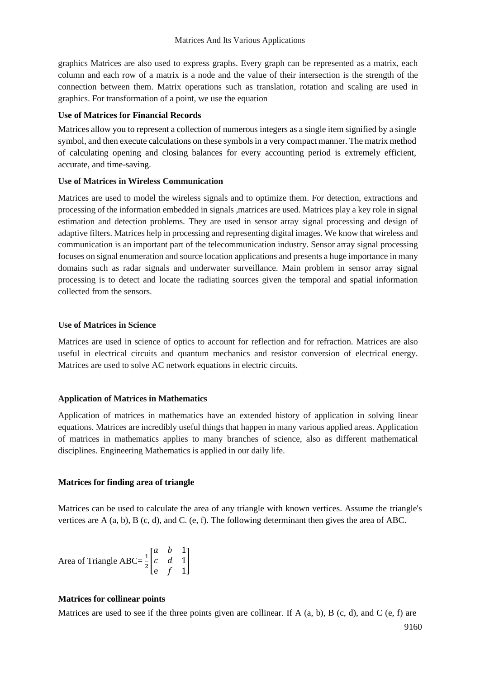graphics Matrices are also used to express graphs. Every graph can be represented as a matrix, each column and each row of a matrix is a node and the value of their intersection is the strength of the connection between them. Matrix operations such as translation, rotation and scaling are used in graphics. For transformation of a point, we use the equation

## **Use of Matrices for Financial Records**

Matrices allow you to represent a collection of numerous integers as a single item signified by a single symbol, and then execute calculations on these symbols in a very compact manner. The matrix method of calculating opening and closing balances for every accounting period is extremely efficient, accurate, and time-saving.

## **Use of Matrices in Wireless Communication**

Matrices are used to model the wireless signals and to optimize them. For detection, extractions and processing of the information embedded in signals ,matrices are used. Matrices play a key role in signal estimation and detection problems. They are used in sensor array signal processing and design of adaptive filters. Matrices help in processing and representing digital images. We know that wireless and communication is an important part of the telecommunication industry. Sensor array signal processing focuses on signal enumeration and source location applications and presents a huge importance in many domains such as radar signals and underwater surveillance. Main problem in sensor array signal processing is to detect and locate the radiating sources given the temporal and spatial information collected from the sensors.

## **Use of Matrices in Science**

Matrices are used in science of optics to account for reflection and for refraction. Matrices are also useful in electrical circuits and quantum mechanics and resistor conversion of electrical energy. Matrices are used to solve AC network equations in electric circuits.

## **Application of Matrices in Mathematics**

Application of matrices in mathematics have an extended history of application in solving linear equations. Matrices are incredibly useful things that happen in many various applied areas. Application of matrices in mathematics applies to many branches of science, also as different mathematical disciplines. Engineering Mathematics is applied in our daily life.

#### **Matrices for finding area of triangle**

Matrices can be used to calculate the area of any triangle with known vertices. Assume the triangle's vertices are A (a, b), B (c, d), and C. (e, f). The following determinant then gives the area of ABC.

Area of Triangle ABC=
$$
\frac{1}{2}\begin{bmatrix} a & b & 1 \\ c & d & 1 \\ e & f & 1 \end{bmatrix}
$$

#### **Matrices for collinear points**

Matrices are used to see if the three points given are collinear. If A  $(a, b)$ , B  $(c, d)$ , and C  $(e, f)$  are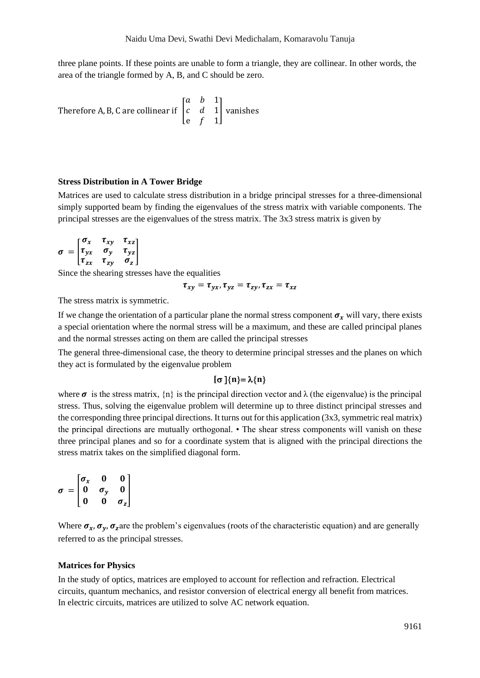three plane points. If these points are unable to form a triangle, they are collinear. In other words, the area of the triangle formed by A, B, and C should be zero.

Therefore A, B, C are collinear if  $\mid$ a *b* 1  $c \quad d \quad 1$ e *f* 1 | vanishes

#### **Stress Distribution in A Tower Bridge**

Matrices are used to calculate stress distribution in a bridge principal stresses for a three-dimensional simply supported beam by finding the eigenvalues of the stress matrix with variable components. The principal stresses are the eigenvalues of the stress matrix. The 3x3 stress matrix is given by

$$
\sigma = \begin{bmatrix} \sigma_x & \tau_{xy} & \tau_{xz} \\ \tau_{yx} & \sigma_y & \tau_{yz} \\ \tau_{zx} & \tau_{zy} & \sigma_z \end{bmatrix}
$$

Since the shearing stresses have the equalities

$$
\tau_{xy} = \tau_{yx}, \tau_{yz} = \tau_{zy}, \tau_{zx} = \tau_{xz}
$$

The stress matrix is symmetric.

If we change the orientation of a particular plane the normal stress component  $\sigma_x$  will vary, there exists a special orientation where the normal stress will be a maximum, and these are called principal planes and the normal stresses acting on them are called the principal stresses

The general three-dimensional case, the theory to determine principal stresses and the planes on which they act is formulated by the eigenvalue problem

#### $\{\sigma\}\{n\} = \lambda\{n\}$

where  $\sigma$  is the stress matrix,  $\{n\}$  is the principal direction vector and  $\lambda$  (the eigenvalue) is the principal stress. Thus, solving the eigenvalue problem will determine up to three distinct principal stresses and the corresponding three principal directions. It turns out for this application (3x3, symmetric real matrix) the principal directions are mutually orthogonal. • The shear stress components will vanish on these three principal planes and so for a coordinate system that is aligned with the principal directions the stress matrix takes on the simplified diagonal form.

$$
\sigma = \begin{bmatrix} \sigma_x & 0 & 0 \\ 0 & \sigma_y & 0 \\ 0 & 0 & \sigma_z \end{bmatrix}
$$

Where  $\sigma_x$ ,  $\sigma_y$ ,  $\sigma_z$  are the problem's eigenvalues (roots of the characteristic equation) and are generally referred to as the principal stresses.

#### **Matrices for Physics**

In the study of optics, matrices are employed to account for reflection and refraction. Electrical circuits, quantum mechanics, and resistor conversion of electrical energy all benefit from matrices. In electric circuits, matrices are utilized to solve AC network equation.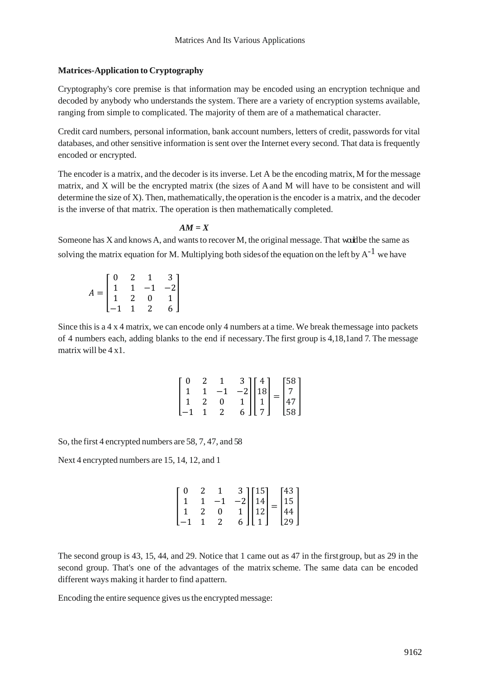## **Matrices-Application to Cryptography**

Cryptography's core premise is that information may be encoded using an encryption technique and decoded by anybody who understands the system. There are a variety of encryption systems available, ranging from simple to complicated. The majority of them are of a mathematical character.

Credit card numbers, personal information, bank account numbers, letters of credit, passwords for vital databases, and other sensitive information is sent over the Internet every second. That data is frequently encoded or encrypted.

The encoder is a matrix, and the decoder is its inverse. Let A be the encoding matrix, M for the message matrix, and X will be the encrypted matrix (the sizes of Aand M will have to be consistent and will determine the size of X). Then, mathematically, the operation is the encoder is a matrix, and the decoder is the inverse of that matrix. The operation is then mathematically completed.

## $AM = X$

Someone has X and knows A, and wants to recover M, the original message. That would be the same as solving the matrix equation for M. Multiplying both sides of the equation on the left by  $A^{-1}$  we have

| $= \begin{bmatrix} 0 & 2 & 1 & 3 \\ 1 & 1 & -1 & -2 \\ 1 & 2 & 0 & 1 \\ -1 & 1 & 2 & 6 \end{bmatrix}$ |  |  |
|-------------------------------------------------------------------------------------------------------|--|--|
|                                                                                                       |  |  |
|                                                                                                       |  |  |

Since this is a 4 x 4 matrix, we can encode only 4 numbers at a time. We break themessage into packets of 4 numbers each, adding blanks to the end if necessary.The first group is 4,18,1and 7. The message matrix will be 4 x1.

| ΓO |                |                                                                                                                                                       |  |  |
|----|----------------|-------------------------------------------------------------------------------------------------------------------------------------------------------|--|--|
|    |                |                                                                                                                                                       |  |  |
|    | $\overline{0}$ |                                                                                                                                                       |  |  |
|    | 2              | $\begin{bmatrix} 3 \\ -2 \\ 1 \\ 6 \end{bmatrix} \begin{bmatrix} 4 \\ 18 \\ 1 \\ 7 \end{bmatrix} = \begin{bmatrix} 58 \\ 7 \\ 47 \\ 58 \end{bmatrix}$ |  |  |

So, the first 4 encrypted numbers are 58, 7, 47, and 58

Next 4 encrypted numbers are 15, 14, 12, and 1

| - 0 |              |                                                                                                                                                               |  |  |
|-----|--------------|---------------------------------------------------------------------------------------------------------------------------------------------------------------|--|--|
|     | —1           |                                                                                                                                                               |  |  |
|     | $\mathbf{0}$ |                                                                                                                                                               |  |  |
|     |              | $\begin{bmatrix} 3 \\ -2 \\ 1 \\ 1 \\ 6 \end{bmatrix} \begin{bmatrix} 15 \\ 14 \\ 12 \\ 1 \end{bmatrix} = \begin{bmatrix} 43 \\ 15 \\ 44 \\ 29 \end{bmatrix}$ |  |  |

The second group is 43, 15, 44, and 29. Notice that 1 came out as 47 in the firstgroup, but as 29 in the second group. That's one of the advantages of the matrix scheme. The same data can be encoded different ways making it harder to find apattern.

Encoding the entire sequence gives usthe encrypted message: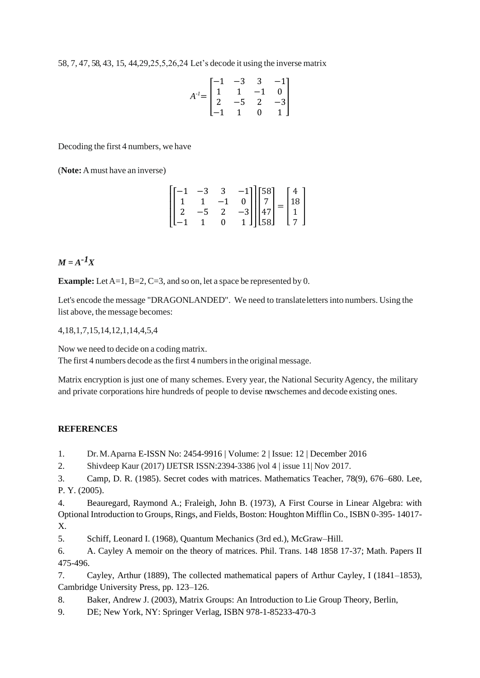58, 7, 47, 58, 43, 15, 44,29,25,5,26,24 Let's decode it using the inverse matrix

$$
A^{-1} = \begin{bmatrix} -1 & -3 & 3 & -1 \\ 1 & 1 & -1 & 0 \\ 2 & -5 & 2 & -3 \\ -1 & 1 & 0 & 1 \end{bmatrix}
$$

Decoding the first 4 numbers, we have

(**Note:** Amust have an inverse)

$$
\begin{bmatrix} -1 & -3 & 3 & -1 \\ 1 & 1 & -1 & 0 \\ 2 & -5 & 2 & -3 \\ -1 & 1 & 0 & 1 \end{bmatrix} \begin{bmatrix} 58 \\ 7 \\ 47 \\ 58 \end{bmatrix} = \begin{bmatrix} 4 \\ 18 \\ 1 \\ 7 \end{bmatrix}
$$

# $M = A^{-1}X$

**Example:** Let A=1, B=2, C=3, and so on, let a space be represented by 0.

Let's encode the message "DRAGONLANDED". We need to translatelettersinto numbers. Using the list above, the message becomes:

4,18,1,7,15,14,12,1,14,4,5,4

Now we need to decide on a coding matrix. The first 4 numbers decode as the first 4 numbers in the original message.

Matrix encryption is just one of many schemes. Every year, the National Security Agency, the military and private corporations hire hundreds of people to devise newschemes and decode existing ones.

#### **REFERENCES**

1. Dr.M.Aparna E-ISSN No: 2454-9916 | Volume: 2 | Issue: 12 | December 2016

2. Shivdeep Kaur (2017) IJETSR ISSN:2394-3386 |vol 4 | issue 11| Nov 2017.

3. Camp, D. R. (1985). Secret codes with matrices. Mathematics Teacher, 78(9), 676–680. Lee, P. Y. (2005).

4. Beauregard, Raymond A.; Fraleigh, John B. (1973), A First Course in Linear Algebra: with Optional Introduction to Groups, Rings, and Fields, Boston: Houghton Mifflin Co., ISBN 0-395- 14017- X.

5. Schiff, Leonard I. (1968), Quantum Mechanics (3rd ed.), McGraw–Hill.

6. A. Cayley A memoir on the theory of matrices. Phil. Trans. 148 1858 17-37; Math. Papers II 475-496.

7. Cayley, Arthur (1889), The collected mathematical papers of Arthur Cayley, I (1841–1853), Cambridge University Press, pp. 123–126.

8. Baker, Andrew J. (2003), Matrix Groups: An Introduction to Lie Group Theory, Berlin,

9. DE; New York, NY: Springer Verlag, ISBN 978-1-85233-470-3